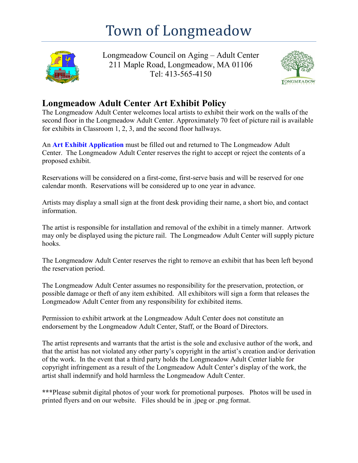## Town of Longmeadow



Longmeadow Council on Aging – Adult Center 211 Maple Road, Longmeadow, MA 01106 Tel: 413-565-4150



## **Longmeadow Adult Center Art Exhibit Policy**

The Longmeadow Adult Center welcomes local artists to exhibit their work on the walls of the second floor in the Longmeadow Adult Center. Approximately 70 feet of picture rail is available for exhibits in Classroom 1, 2, 3, and the second floor hallways.

An **[Art Exhibit Application](https://www.longmeadow.org/Archive.aspx?ADID=725)** must be filled out and returned to The Longmeadow Adult Center. The Longmeadow Adult Center reserves the right to accept or reject the contents of a proposed exhibit.

Reservations will be considered on a first-come, first-serve basis and will be reserved for one calendar month. Reservations will be considered up to one year in advance.

Artists may display a small sign at the front desk providing their name, a short bio, and contact information.

The artist is responsible for installation and removal of the exhibit in a timely manner. Artwork may only be displayed using the picture rail. The Longmeadow Adult Center will supply picture hooks.

The Longmeadow Adult Center reserves the right to remove an exhibit that has been left beyond the reservation period.

The Longmeadow Adult Center assumes no responsibility for the preservation, protection, or possible damage or theft of any item exhibited. All exhibitors will sign a form that releases the Longmeadow Adult Center from any responsibility for exhibited items.

Permission to exhibit artwork at the Longmeadow Adult Center does not constitute an endorsement by the Longmeadow Adult Center, Staff, or the Board of Directors.

The artist represents and warrants that the artist is the sole and exclusive author of the work, and that the artist has not violated any other party's copyright in the artist's creation and/or derivation of the work. In the event that a third party holds the Longmeadow Adult Center liable for copyright infringement as a result of the Longmeadow Adult Center's display of the work, the artist shall indemnify and hold harmless the Longmeadow Adult Center.

**\*\*\***Please submit digital photos of your work for promotional purposes. Photos will be used in printed flyers and on our website. Files should be in .jpeg or .png format.